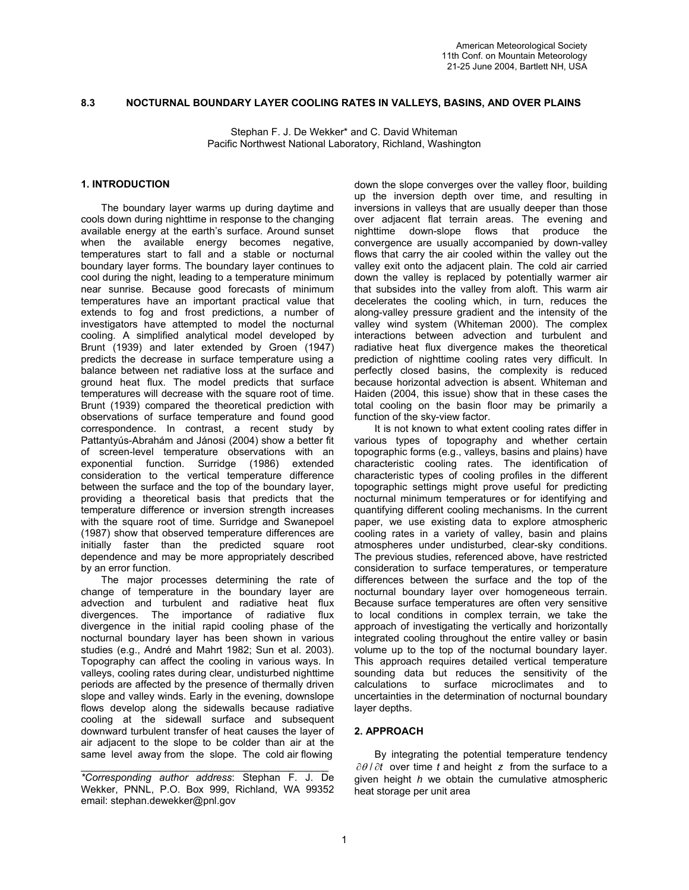# **8.3 NOCTURNAL BOUNDARY LAYER COOLING RATES IN VALLEYS, BASINS, AND OVER PLAINS**

Stephan F. J. De Wekker\* and C. David Whiteman Pacific Northwest National Laboratory, Richland, Washington

## **1. INTRODUCTION**

The boundary layer warms up during daytime and cools down during nighttime in response to the changing available energy at the earth's surface. Around sunset when the available energy becomes negative, temperatures start to fall and a stable or nocturnal boundary layer forms. The boundary layer continues to cool during the night, leading to a temperature minimum near sunrise. Because good forecasts of minimum temperatures have an important practical value that extends to fog and frost predictions, a number of investigators have attempted to model the nocturnal cooling. A simplified analytical model developed by Brunt (1939) and later extended by Groen (1947) predicts the decrease in surface temperature using a balance between net radiative loss at the surface and ground heat flux. The model predicts that surface temperatures will decrease with the square root of time. Brunt (1939) compared the theoretical prediction with observations of surface temperature and found good correspondence. In contrast, a recent study by Pattantyús-Abrahám and Jánosi (2004) show a better fit of screen-level temperature observations with an exponential function. Surridge (1986) extended consideration to the vertical temperature difference between the surface and the top of the boundary layer, providing a theoretical basis that predicts that the temperature difference or inversion strength increases with the square root of time. Surridge and Swanepoel (1987) show that observed temperature differences are initially faster than the predicted square root dependence and may be more appropriately described by an error function.

The major processes determining the rate of change of temperature in the boundary layer are advection and turbulent and radiative heat flux divergences. The importance of radiative flux divergence in the initial rapid cooling phase of the nocturnal boundary layer has been shown in various studies (e.g., André and Mahrt 1982; Sun et al. 2003). Topography can affect the cooling in various ways. In valleys, cooling rates during clear, undisturbed nighttime periods are affected by the presence of thermally driven slope and valley winds. Early in the evening, downslope flows develop along the sidewalls because radiative cooling at the sidewall surface and subsequent downward turbulent transfer of heat causes the layer of air adjacent to the slope to be colder than air at the same level away from the slope. The cold air flowing

\_\_\_\_\_\_\_\_\_\_\_\_\_\_\_\_\_\_\_\_\_\_\_\_\_\_\_\_\_\_\_\_\_\_\_\_\_\_\_\_\_\_\_\_

down the slope converges over the valley floor, building up the inversion depth over time, and resulting in inversions in valleys that are usually deeper than those over adjacent flat terrain areas. The evening and nighttime down-slope flows that produce the convergence are usually accompanied by down-valley flows that carry the air cooled within the valley out the valley exit onto the adjacent plain. The cold air carried down the valley is replaced by potentially warmer air that subsides into the valley from aloft. This warm air decelerates the cooling which, in turn, reduces the along-valley pressure gradient and the intensity of the valley wind system (Whiteman 2000). The complex interactions between advection and turbulent and radiative heat flux divergence makes the theoretical prediction of nighttime cooling rates very difficult. In perfectly closed basins, the complexity is reduced because horizontal advection is absent. Whiteman and Haiden (2004, this issue) show that in these cases the total cooling on the basin floor may be primarily a function of the sky-view factor.

It is not known to what extent cooling rates differ in various types of topography and whether certain topographic forms (e.g., valleys, basins and plains) have characteristic cooling rates. The identification of characteristic types of cooling profiles in the different topographic settings might prove useful for predicting nocturnal minimum temperatures or for identifying and quantifying different cooling mechanisms. In the current paper, we use existing data to explore atmospheric cooling rates in a variety of valley, basin and plains atmospheres under undisturbed, clear-sky conditions. The previous studies, referenced above, have restricted consideration to surface temperatures, or temperature differences between the surface and the top of the nocturnal boundary layer over homogeneous terrain. Because surface temperatures are often very sensitive to local conditions in complex terrain, we take the approach of investigating the vertically and horizontally integrated cooling throughout the entire valley or basin volume up to the top of the nocturnal boundary layer. This approach requires detailed vertical temperature sounding data but reduces the sensitivity of the calculations to surface microclimates and to uncertainties in the determination of nocturnal boundary layer depths.

# **2. APPROACH**

By integrating the potential temperature tendency ∂θ / ∂*t* over time *t* and height *z* from the surface to a given height *h* we obtain the cumulative atmospheric heat storage per unit area

*<sup>\*</sup>Corresponding author address*: Stephan F. J. De Wekker, PNNL, P.O. Box 999, Richland, WA 99352 email: stephan.dewekker@pnl.gov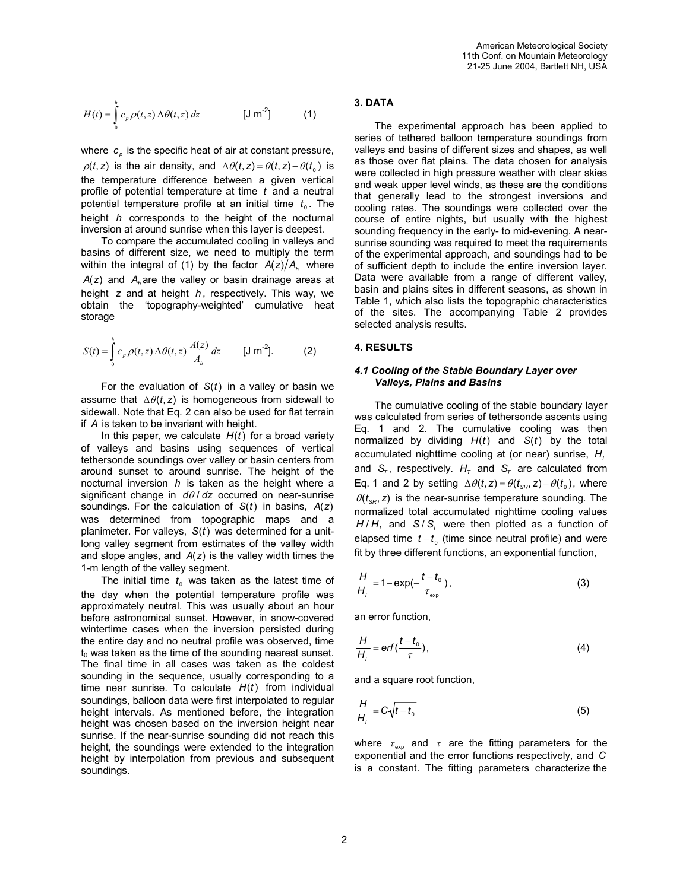$$
H(t) = \int_{0}^{h} c_p \rho(t, z) \Delta \theta(t, z) dz
$$
 [J m<sup>-2</sup>] (1)

where  $c_{\rho}$  is the specific heat of air at constant pressure,  $\rho(t, z)$  is the air density, and  $\Delta \theta(t, z) = \theta(t, z) - \theta(t_0)$  is the temperature difference between a given vertical profile of potential temperature at time *t* and a neutral potential temperature profile at an initial time  $t_0$ . The height *h* corresponds to the height of the nocturnal inversion at around sunrise when this layer is deepest.

To compare the accumulated cooling in valleys and basins of different size, we need to multiply the term within the integral of (1) by the factor  $A(z)/A_{\scriptscriptstyle h}$  where  $A(z)$  and  $A_h$  are the valley or basin drainage areas at height *z* and at height *h* , respectively. This way, we obtain the 'topography-weighted' cumulative heat storage

$$
S(t) = \int_{0}^{h} c_p \rho(t, z) \Delta \theta(t, z) \frac{A(z)}{A_h} dz \qquad [J \text{ m}^{-2}]. \tag{2}
$$

For the evaluation of *S*(*t*) in a valley or basin we assume that  $\Delta \theta(t, z)$  is homogeneous from sidewall to sidewall. Note that Eq. 2 can also be used for flat terrain if *A* is taken to be invariant with height.

In this paper, we calculate  $H(t)$  for a broad variety of valleys and basins using sequences of vertical tethersonde soundings over valley or basin centers from around sunset to around sunrise. The height of the nocturnal inversion *h* is taken as the height where a significant change in *d*θ / *dz* occurred on near-sunrise soundings. For the calculation of *S*(*t*) in basins, *A*(*z*) was determined from topographic maps and a planimeter. For valleys, *S*(*t*) was determined for a unitlong valley segment from estimates of the valley width and slope angles, and *A*(*z*) is the valley width times the 1-m length of the valley segment.

The initial time  $t_0$  was taken as the latest time of the day when the potential temperature profile was approximately neutral. This was usually about an hour before astronomical sunset. However, in snow-covered wintertime cases when the inversion persisted during the entire day and no neutral profile was observed, time  $t_0$  was taken as the time of the sounding nearest sunset. The final time in all cases was taken as the coldest sounding in the sequence, usually corresponding to a time near sunrise. To calculate *H*(*t*) from individual soundings, balloon data were first interpolated to regular height intervals. As mentioned before, the integration height was chosen based on the inversion height near sunrise. If the near-sunrise sounding did not reach this height, the soundings were extended to the integration height by interpolation from previous and subsequent soundings.

# **3. DATA**

The experimental approach has been applied to series of tethered balloon temperature soundings from valleys and basins of different sizes and shapes, as well as those over flat plains. The data chosen for analysis were collected in high pressure weather with clear skies and weak upper level winds, as these are the conditions that generally lead to the strongest inversions and cooling rates. The soundings were collected over the course of entire nights, but usually with the highest sounding frequency in the early- to mid-evening. A nearsunrise sounding was required to meet the requirements of the experimental approach, and soundings had to be of sufficient depth to include the entire inversion layer. Data were available from a range of different valley, basin and plains sites in different seasons, as shown in Table 1, which also lists the topographic characteristics of the sites. The accompanying Table 2 provides selected analysis results.

### **4. RESULTS**

## *4.1 Cooling of the Stable Boundary Layer over Valleys, Plains and Basins*

The cumulative cooling of the stable boundary layer was calculated from series of tethersonde ascents using Eq. 1 and 2. The cumulative cooling was then normalized by dividing *H*(*t*) and *S*(*t*) by the total accumulated nighttime cooling at (or near) sunrise,  $H<sub>\tau</sub>$ and  $S_{\tau}$ , respectively.  $H_{\tau}$  and  $S_{\tau}$  are calculated from Eq. 1 and 2 by setting  $\Delta \theta(t, z) = \theta(t_{SR}, z) - \theta(t_0)$ , where  $\theta(t_{\text{sp}}, z)$  is the near-sunrise temperature sounding. The normalized total accumulated nighttime cooling values  $H/H<sub>τ</sub>$  and *S* / *S<sub>τ</sub>* were then plotted as a function of elapsed time  $t - t_0$  (time since neutral profile) and were fit by three different functions, an exponential function,

$$
\frac{H}{H_{\tau}} = 1 - \exp(-\frac{t - t_0}{\tau_{\exp}}),
$$
\n(3)

an error function,

$$
\frac{H}{H_{\tau}} = erf(\frac{t-t_0}{\tau}),
$$
\n(4)

and a square root function,

$$
\frac{H}{H_{\tau}} = C\sqrt{t - t_{\text{o}}}
$$
\n(5)

where  $\tau_{\text{exo}}$  and  $\tau$  are the fitting parameters for the exponential and the error functions respectively, and *C* is a constant. The fitting parameters characterize the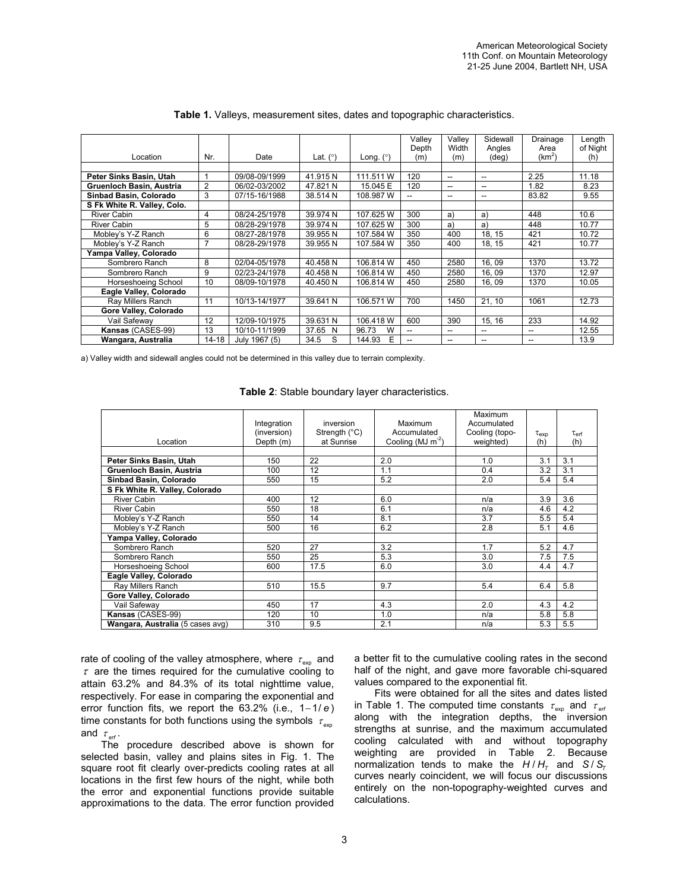|                             |                |               |            |             | Valley                   | Valley | Sidewall                 | Drainage | Length   |
|-----------------------------|----------------|---------------|------------|-------------|--------------------------|--------|--------------------------|----------|----------|
|                             |                |               |            |             | Depth                    | Width  | Angles                   | Area     | of Night |
| Location                    | Nr.            | Date          | Lat. $(°)$ | Long. $(°)$ | (m)                      | (m)    | $(\text{deg})$           | $(km^2)$ | (h)      |
|                             |                |               |            |             |                          |        |                          |          |          |
| Peter Sinks Basin, Utah     |                | 09/08-09/1999 | 41.915N    | 111.511 W   | 120                      | $-$    | $\overline{\phantom{a}}$ | 2.25     | 11.18    |
| Gruenloch Basin, Austria    | 2              | 06/02-03/2002 | 47.821 N   | 15.045 E    | 120                      | --     | --                       | 1.82     | 8.23     |
| Sinbad Basin, Colorado      | 3              | 07/15-16/1988 | 38.514 N   | 108.987 W   | --                       | --     | $\hspace{0.05cm}$        | 83.82    | 9.55     |
| S Fk White R. Valley, Colo. |                |               |            |             |                          |        |                          |          |          |
| <b>River Cabin</b>          | 4              | 08/24-25/1978 | 39.974 N   | 107.625 W   | 300                      | a)     | a)                       | 448      | 10.6     |
| <b>River Cabin</b>          | 5              | 08/28-29/1978 | 39.974 N   | 107.625 W   | 300                      | a)     | a)                       | 448      | 10.77    |
| Mobley's Y-Z Ranch          | 6              | 08/27-28/1978 | 39.955N    | 107.584 W   | 350                      | 400    | 18, 15                   | 421      | 10.72    |
| Mobley's Y-Z Ranch          | $\overline{7}$ | 08/28-29/1978 | 39.955N    | 107.584 W   | 350                      | 400    | 18, 15                   | 421      | 10.77    |
| Yampa Valley, Colorado      |                |               |            |             |                          |        |                          |          |          |
| Sombrero Ranch              | 8              | 02/04-05/1978 | 40.458 N   | 106.814 W   | 450                      | 2580   | 16.09                    | 1370     | 13.72    |
| Sombrero Ranch              | 9              | 02/23-24/1978 | 40.458 N   | 106.814 W   | 450                      | 2580   | 16,09                    | 1370     | 12.97    |
| Horseshoeing School         | 10             | 08/09-10/1978 | 40.450N    | 106.814 W   | 450                      | 2580   | 16,09                    | 1370     | 10.05    |
| Eagle Valley, Colorado      |                |               |            |             |                          |        |                          |          |          |
| Ray Millers Ranch           | 11             | 10/13-14/1977 | 39.641 N   | 106.571 W   | 700                      | 1450   | 21, 10                   | 1061     | 12.73    |
| Gore Valley, Colorado       |                |               |            |             |                          |        |                          |          |          |
| Vail Safewav                | 12             | 12/09-10/1975 | 39.631 N   | 106.418 W   | 600                      | 390    | 15, 16                   | 233      | 14.92    |
| Kansas (CASES-99)           | 13             | 10/10-11/1999 | 37.65 N    | W<br>96.73  | $\overline{\phantom{a}}$ | --     | $-$                      | $- -$    | 12.55    |
| Wangara, Australia          | 14-18          | July 1967 (5) | 34.5<br>S  | Ε<br>144.93 | $\overline{\phantom{a}}$ | $-$    | $\hspace{0.05cm}$        | $- -$    | 13.9     |

#### **Table 1.** Valleys, measurement sites, dates and topographic characteristics.

a) Valley width and sidewall angles could not be determined in this valley due to terrain complexity.

**Table 2**: Stable boundary layer characteristics.

|                                  | Integration | inversion              | Maximum                | Maximum<br>Accumulated |                  |                     |
|----------------------------------|-------------|------------------------|------------------------|------------------------|------------------|---------------------|
|                                  | (inversion) | Strength $(^{\circ}C)$ | Accumulated            | Cooling (topo-         | $\tau_{\sf exp}$ | $\tau_{\text{erf}}$ |
| Location                         | Depth (m)   | at Sunrise             | Cooling (MJ $m^{-2}$ ) | weighted)              | (h)              | (h)                 |
|                                  |             |                        |                        |                        |                  |                     |
| Peter Sinks Basin, Utah          | 150         | 22                     | 2.0                    | 1.0                    | 3.1              | 3.1                 |
| Gruenloch Basin, Austria         | 100         | 12                     | 1.1                    | 0.4                    | 3.2              | 3.1                 |
| Sinbad Basin, Colorado           | 550         | 15                     | 5.2                    | 2.0                    | 5.4              | 5.4                 |
| S Fk White R. Valley, Colorado   |             |                        |                        |                        |                  |                     |
| <b>River Cabin</b>               | 400         | 12                     | 6.0                    | n/a                    | 3.9              | 3.6                 |
| <b>River Cabin</b>               | 550         | 18                     | 6.1                    | n/a                    | 4.6              | 4.2                 |
| Mobley's Y-Z Ranch               | 550         | 14                     | 8.1                    | 3.7                    | 5.5              | 5.4                 |
| Mobley's Y-Z Ranch               | 500         | 16                     | 6.2                    | 2.8                    | 5.1              | 4.6                 |
| Yampa Valley, Colorado           |             |                        |                        |                        |                  |                     |
| Sombrero Ranch                   | 520         | 27                     | 3.2                    | 1.7                    | 5.2              | 4.7                 |
| Sombrero Ranch                   | 550         | 25                     | 5.3                    | 3.0                    | 7.5              | 7.5                 |
| Horseshoeing School              | 600         | 17.5                   | 6.0                    | 3.0                    | 4.4              | 4.7                 |
| Eagle Valley, Colorado           |             |                        |                        |                        |                  |                     |
| Ray Millers Ranch                | 510         | 15.5                   | 9.7                    | 5.4                    | 6.4              | 5.8                 |
| Gore Valley, Colorado            |             |                        |                        |                        |                  |                     |
| Vail Safeway                     | 450         | 17                     | 4.3                    | 2.0                    | 4.3              | 4.2                 |
| Kansas (CASES-99)                | 120         | 10                     | 1.0                    | n/a                    | 5.8              | 5.8                 |
| Wangara, Australia (5 cases avg) | 310         | 9.5                    | 2.1                    | n/a                    | 5.3              | 5.5                 |

rate of cooling of the valley atmosphere, where  $\tau_{\text{exo}}$  and  $\tau$  are the times required for the cumulative cooling to attain 63.2% and 84.3% of its total nighttime value, respectively. For ease in comparing the exponential and error function fits, we report the 63.2% (i.e., 1−1/ *e* ) time constants for both functions using the symbols  $\tau_{\text{exo}}$ and  $\tau_{\text{\tiny eff}}$  .

The procedure described above is shown for selected basin, valley and plains sites in Fig. 1. The square root fit clearly over-predicts cooling rates at all locations in the first few hours of the night, while both the error and exponential functions provide suitable approximations to the data. The error function provided

a better fit to the cumulative cooling rates in the second half of the night, and gave more favorable chi-squared values compared to the exponential fit.

Fits were obtained for all the sites and dates listed in Table 1. The computed time constants  $\tau_{\textsf{\tiny exp}}$  and  $\tau_{\textsf{\tiny eff}}$ along with the integration depths, the inversion strengths at sunrise, and the maximum accumulated cooling calculated with and without topography weighting are provided in Table 2. Because normalization tends to make the *H* / *HT* and *S* / *ST* curves nearly coincident, we will focus our discussions entirely on the non-topography-weighted curves and calculations.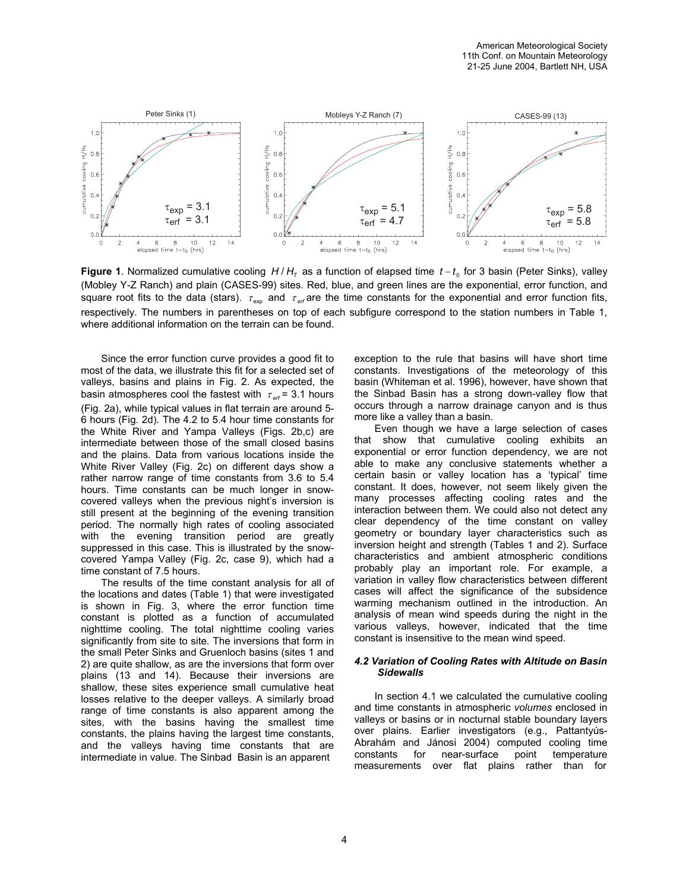

**Figure 1**. Normalized cumulative cooling H/H<sub>T</sub> as a function of elapsed time *t* − *t*<sub>0</sub> for 3 basin (Peter Sinks), valley (Mobley Y-Z Ranch) and plain (CASES-99) sites. Red, blue, and green lines are the exponential, error function, and square root fits to the data (stars).  $\tau_{\rm exp}$  and  $\tau_{\rm erf}$  are the time constants for the exponential and error function fits, respectively. The numbers in parentheses on top of each subfigure correspond to the station numbers in Table 1, where additional information on the terrain can be found.

Since the error function curve provides a good fit to most of the data, we illustrate this fit for a selected set of valleys, basins and plains in Fig. 2. As expected, the basin atmospheres cool the fastest with  $\tau_{\text{\tiny{eff}}}$  = 3.1 hours (Fig. 2a), while typical values in flat terrain are around 5- 6 hours (Fig. 2d). The 4.2 to 5.4 hour time constants for the White River and Yampa Valleys (Figs. 2b,c) are intermediate between those of the small closed basins and the plains. Data from various locations inside the White River Valley (Fig. 2c) on different days show a rather narrow range of time constants from 3.6 to 5.4 hours. Time constants can be much longer in snowcovered valleys when the previous night's inversion is still present at the beginning of the evening transition period. The normally high rates of cooling associated with the evening transition period are greatly suppressed in this case. This is illustrated by the snowcovered Yampa Valley (Fig. 2c, case 9), which had a time constant of 7.5 hours.

The results of the time constant analysis for all of the locations and dates (Table 1) that were investigated is shown in Fig. 3, where the error function time constant is plotted as a function of accumulated nighttime cooling. The total nighttime cooling varies significantly from site to site. The inversions that form in the small Peter Sinks and Gruenloch basins (sites 1 and 2) are quite shallow, as are the inversions that form over plains (13 and 14). Because their inversions are shallow, these sites experience small cumulative heat losses relative to the deeper valleys. A similarly broad range of time constants is also apparent among the sites, with the basins having the smallest time constants, the plains having the largest time constants, and the valleys having time constants that are intermediate in value. The Sinbad Basin is an apparent

exception to the rule that basins will have short time constants. Investigations of the meteorology of this basin (Whiteman et al. 1996), however, have shown that the Sinbad Basin has a strong down-valley flow that occurs through a narrow drainage canyon and is thus more like a valley than a basin.

Even though we have a large selection of cases that show that cumulative cooling exhibits an exponential or error function dependency, we are not able to make any conclusive statements whether a certain basin or valley location has a 'typical' time constant. It does, however, not seem likely given the many processes affecting cooling rates and the interaction between them. We could also not detect any clear dependency of the time constant on valley geometry or boundary layer characteristics such as inversion height and strength (Tables 1 and 2). Surface characteristics and ambient atmospheric conditions probably play an important role. For example, a variation in valley flow characteristics between different cases will affect the significance of the subsidence warming mechanism outlined in the introduction. An analysis of mean wind speeds during the night in the various valleys, however, indicated that the time constant is insensitive to the mean wind speed.

#### *4.2 Variation of Cooling Rates with Altitude on Basin Sidewalls*

In section 4.1 we calculated the cumulative cooling and time constants in atmospheric *volumes* enclosed in valleys or basins or in nocturnal stable boundary layers over plains. Earlier investigators (e.g., Pattantyús-Abrahám and Jánosi 2004) computed cooling time constants for near-surface point temperature measurements over flat plains rather than for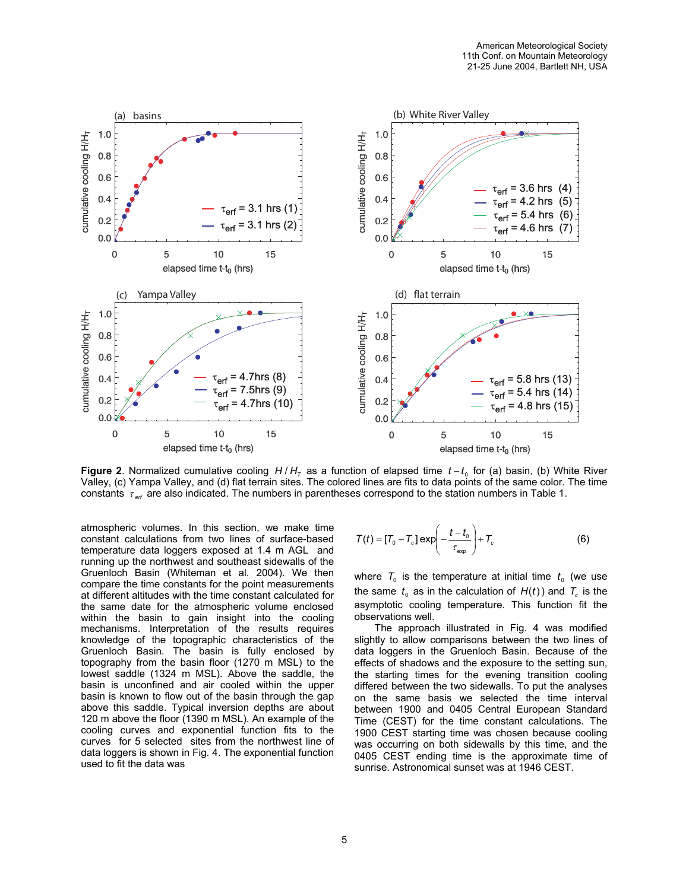

**Figure 2**. Normalized cumulative cooling H / H<sub>T</sub> as a function of elapsed time  $t - t_0$  for (a) basin, (b) White River Valley, (c) Yampa Valley, and (d) flat terrain sites. The colored lines are fits to data points of the same color. The time constants τ<sub>erf</sub> are also indicated. The numbers in parentheses correspond to the station numbers in Table 1.

atmospheric volumes. In this section, we make time constant calculations from two lines of surface-based temperature data loggers exposed at 1.4 m AGL and running up the northwest and southeast sidewalls of the Gruenloch Basin (Whiteman et al. 2004). We then compare the time constants for the point measurements at different altitudes with the time constant calculated for the same date for the atmospheric volume enclosed within the basin to gain insight into the cooling mechanisms. Interpretation of the results requires knowledge of the topographic characteristics of the Gruenloch Basin. The basin is fully enclosed by topography from the basin floor (1270 m MSL) to the lowest saddle (1324 m MSL). Above the saddle, the basin is unconfined and air cooled within the upper basin is known to flow out of the basin through the gap above this saddle. Typical inversion depths are about 120 m above the floor (1390 m MSL). An example of the cooling curves and exponential function fits to the curves for 5 selected sites from the northwest line of data loggers is shown in Fig. 4. The exponential function used to fit the data was

$$
T(t) = [T_0 - T_c] \exp\left(-\frac{t - t_0}{\tau_{\exp}}\right) + T_c
$$
 (6)

where  $T_0$  is the temperature at initial time  $t_0$  (we use the same  $t_0$  as in the calculation of  $H(t)$ ) and  $\mathcal{T}_c$  is the asymptotic cooling temperature. This function fit the observations well.

The approach illustrated in Fig. 4 was modified slightly to allow comparisons between the two lines of data loggers in the Gruenloch Basin. Because of the effects of shadows and the exposure to the setting sun, the starting times for the evening transition cooling differed between the two sidewalls. To put the analyses on the same basis we selected the time interval between 1900 and 0405 Central European Standard Time (CEST) for the time constant calculations. The 1900 CEST starting time was chosen because cooling was occurring on both sidewalls by this time, and the 0405 CEST ending time is the approximate time of sunrise. Astronomical sunset was at 1946 CEST.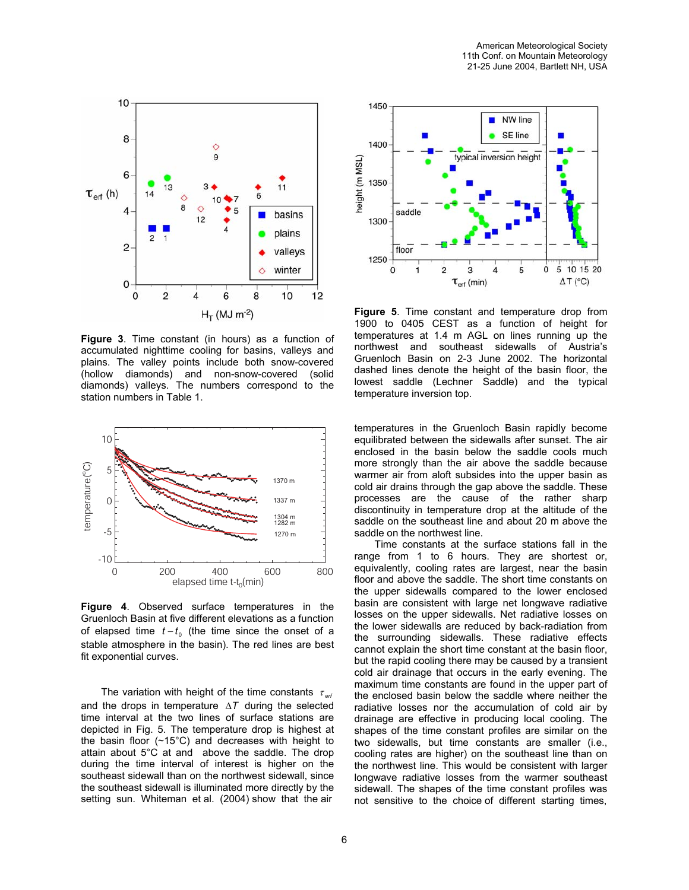

**Figure 3**. Time constant (in hours) as a function of accumulated nighttime cooling for basins, valleys and plains. The valley points include both snow-covered (hollow diamonds) and non-snow-covered (solid diamonds) valleys. The numbers correspond to the station numbers in Table 1.



**Figure 4**. Observed surface temperatures in the Gruenloch Basin at five different elevations as a function of elapsed time  $t - t_0$  (the time since the onset of a stable atmosphere in the basin). The red lines are best fit exponential curves.

The variation with height of the time constants  $\tau_{\text{eff}}$ and the drops in temperature ∆*T* during the selected time interval at the two lines of surface stations are depicted in Fig. 5. The temperature drop is highest at the basin floor (~15°C) and decreases with height to attain about 5°C at and above the saddle. The drop during the time interval of interest is higher on the southeast sidewall than on the northwest sidewall, since the southeast sidewall is illuminated more directly by the setting sun. Whiteman et al. (2004) show that the air



**Figure 5**. Time constant and temperature drop from 1900 to 0405 CEST as a function of height for temperatures at 1.4 m AGL on lines running up the northwest and southeast sidewalls of Austria's Gruenloch Basin on 2-3 June 2002. The horizontal dashed lines denote the height of the basin floor, the lowest saddle (Lechner Saddle) and the typical temperature inversion top.

temperatures in the Gruenloch Basin rapidly become equilibrated between the sidewalls after sunset. The air enclosed in the basin below the saddle cools much more strongly than the air above the saddle because warmer air from aloft subsides into the upper basin as cold air drains through the gap above the saddle. These processes are the cause of the rather sharp discontinuity in temperature drop at the altitude of the saddle on the southeast line and about 20 m above the saddle on the northwest line.

Time constants at the surface stations fall in the range from 1 to 6 hours. They are shortest or, equivalently, cooling rates are largest, near the basin floor and above the saddle. The short time constants on the upper sidewalls compared to the lower enclosed basin are consistent with large net longwave radiative losses on the upper sidewalls. Net radiative losses on the lower sidewalls are reduced by back-radiation from the surrounding sidewalls. These radiative effects cannot explain the short time constant at the basin floor, but the rapid cooling there may be caused by a transient cold air drainage that occurs in the early evening. The maximum time constants are found in the upper part of the enclosed basin below the saddle where neither the radiative losses nor the accumulation of cold air by drainage are effective in producing local cooling. The shapes of the time constant profiles are similar on the two sidewalls, but time constants are smaller (i.e., cooling rates are higher) on the southeast line than on the northwest line. This would be consistent with larger longwave radiative losses from the warmer southeast sidewall. The shapes of the time constant profiles was not sensitive to the choice of different starting times,